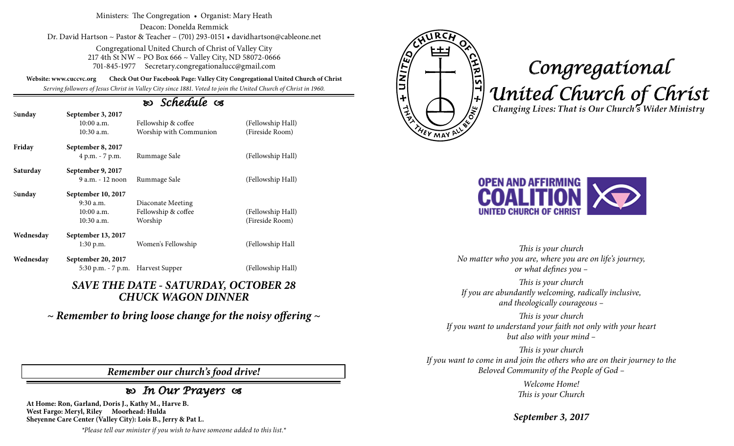Ministers: The Congregation • Organist: Mary Heath

Deacon: Donelda Remmick Dr. David Hartson ~ Pastor & Teacher – (701) 293-0151 • davidhartson@cableone.net

> Congregational United Church of Christ of Valley City 217 4th St NW ~ PO Box 666 ~ Valley City, ND 58072-0666 701-845-1977 Secretary.congregationalucc@gmail.com

**Website: www.cuccvc.org Check Out Our Facebook Page: Valley City Congregational United Church of Christ**

*Serving followers of Jesus Christ in Valley City since 1881. Voted to join the United Church of Christ in 1960.*

## *Schedule*

| Sunday    | September 3, 2017<br>$10:00$ a.m.<br>$10:30$ a.m.                 | Fellowship & coffee<br>Worship with Communion       | (Fellowship Hall)<br>(Fireside Room) |
|-----------|-------------------------------------------------------------------|-----------------------------------------------------|--------------------------------------|
| Friday    | September 8, 2017<br>4 p.m. - 7 p.m.                              | Rummage Sale                                        | (Fellowship Hall)                    |
| Saturday  | September 9, 2017<br>$9a.m. - 12 noon$                            | Rummage Sale                                        | (Fellowship Hall)                    |
| Sunday    | September 10, 2017<br>$9:30$ a.m.<br>$10:00$ a.m.<br>$10:30$ a.m. | Diaconate Meeting<br>Fellowship & coffee<br>Worship | (Fellowship Hall)<br>(Fireside Room) |
| Wednesday | September 13, 2017<br>$1:30$ p.m.                                 | Women's Fellowship                                  | (Fellowship Hall                     |
| Wednesday | September 20, 2017                                                |                                                     |                                      |

## *SAVE THE DATE - SATURDAY, OCTOBER 28 CHUCK WAGON DINNER*

5:30 p.m. - 7 p.m. Harvest Supper (Fellowship Hall)

*~ Remember to bring loose change for the noisy offering ~*

*Remember our church's food drive!*

## *In Our Prayers*

**At Home: Ron, Garland, Doris J., Kathy M., Harve B. West Fargo: Meryl, Riley Moorhead: Hulda Sheyenne Care Center (Valley City): Lois B., Jerry & Pat L.**

*\*Please tell our minister if you wish to have someone added to this list.\**



## *Congregational United Church of Christ Changing Lives: That is Our Church's Wider Ministry*



*This is your church No matter who you are, where you are on life's journey, or what defines you –*

*This is your church If you are abundantly welcoming, radically inclusive, and theologically courageous –*

*This is your church If you want to understand your faith not only with your heart but also with your mind –*

*This is your church If you want to come in and join the others who are on their journey to the Beloved Community of the People of God –*

> *Welcome Home! This is your Church*

*September 3, 2017*